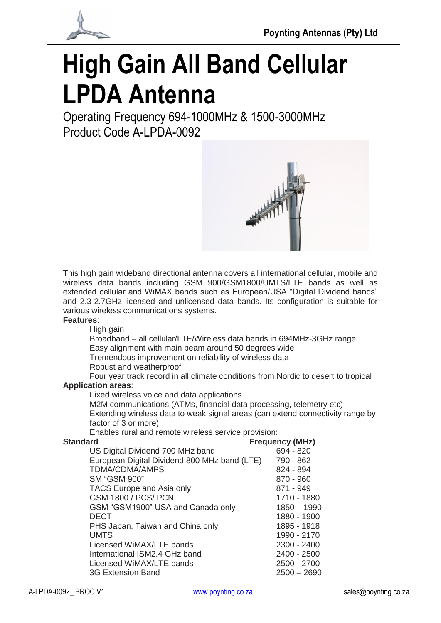



# **High Gain All Band Cellular LPDA Antenna**

Operating Frequency 694-1000MHz & 1500-3000MHz Product Code A-LPDA-0092



This high gain wideband directional antenna covers all international cellular, mobile and wireless data bands including GSM 900/GSM1800/UMTS/LTE bands as well as extended cellular and WiMAX bands such as European/USA "Digital Dividend bands" and 2.3-2.7GHz licensed and unlicensed data bands. Its configuration is suitable for various wireless communications systems.

#### **Features**:

High gain Broadband – all cellular/LTE/Wireless data bands in 694MHz-3GHz range Easy alignment with main beam around 50 degrees wide Tremendous improvement on reliability of wireless data Robust and weatherproof Four year track record in all climate conditions from Nordic to desert to tropical **Application areas**: Fixed wireless voice and data applications M2M communications (ATMs, financial data processing, telemetry etc)

Extending wireless data to weak signal areas (can extend connectivity range by factor of 3 or more)

Enables rural and remote wireless service provision:

| <b>Standard</b>                              | <b>Frequency (MHz)</b> |
|----------------------------------------------|------------------------|
| US Digital Dividend 700 MHz band             | 694 - 820              |
| European Digital Dividend 800 MHz band (LTE) | 790 - 862              |
| TDMA/CDMA/AMPS                               | 824 - 894              |
| <b>SM "GSM 900"</b>                          | 870 - 960              |
| TACS Europe and Asia only                    | 871 - 949              |
| <b>GSM 1800 / PCS/ PCN</b>                   | 1710 - 1880            |
| GSM "GSM1900" USA and Canada only            | 1850 - 1990            |
| <b>DECT</b>                                  | 1880 - 1900            |
| PHS Japan, Taiwan and China only             | 1895 - 1918            |
| <b>UMTS</b>                                  | 1990 - 2170            |
| Licensed WiMAX/LTE bands                     | 2300 - 2400            |
| International ISM2.4 GHz band                | 2400 - 2500            |
| Licensed WiMAX/LTE bands                     | 2500 - 2700            |
| 3G Extension Band                            | $2500 - 2690$          |